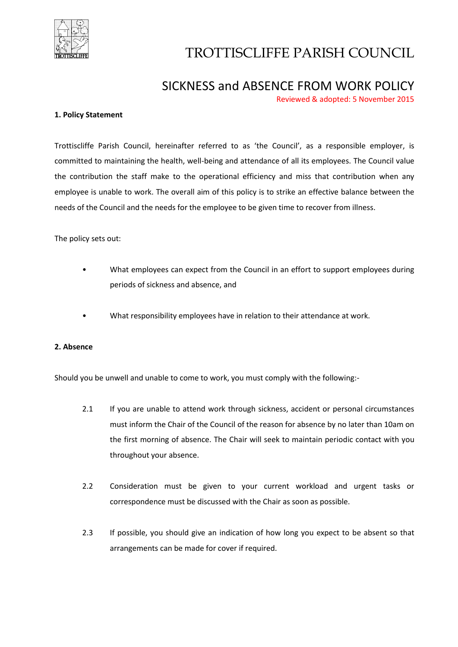

# TROTTISCLIFFE PARISH COUNCIL

## SICKNESS and ABSENCE FROM WORK POLICY

Reviewed & adopted: 5 November 2015

#### **1. Policy Statement**

Trottiscliffe Parish Council, hereinafter referred to as 'the Council', as a responsible employer, is committed to maintaining the health, well-being and attendance of all its employees. The Council value the contribution the staff make to the operational efficiency and miss that contribution when any employee is unable to work. The overall aim of this policy is to strike an effective balance between the needs of the Council and the needs for the employee to be given time to recover from illness.

The policy sets out:

- What employees can expect from the Council in an effort to support employees during periods of sickness and absence, and
- What responsibility employees have in relation to their attendance at work.

#### **2. Absence**

Should you be unwell and unable to come to work, you must comply with the following:-

- 2.1 If you are unable to attend work through sickness, accident or personal circumstances must inform the Chair of the Council of the reason for absence by no later than 10am on the first morning of absence. The Chair will seek to maintain periodic contact with you throughout your absence.
- 2.2 Consideration must be given to your current workload and urgent tasks or correspondence must be discussed with the Chair as soon as possible.
- 2.3 If possible, you should give an indication of how long you expect to be absent so that arrangements can be made for cover if required.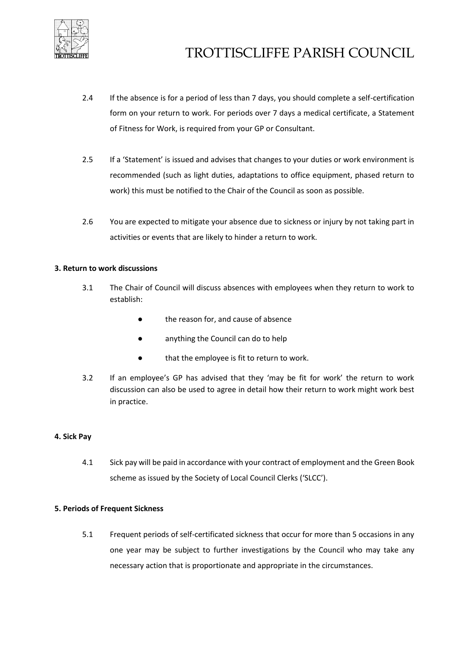

- 2.4 If the absence is for a period of less than 7 days, you should complete a self-certification form on your return to work. For periods over 7 days a medical certificate, a Statement of Fitness for Work, is required from your GP or Consultant.
- 2.5 If a 'Statement' is issued and advises that changes to your duties or work environment is recommended (such as light duties, adaptations to office equipment, phased return to work) this must be notified to the Chair of the Council as soon as possible.
- 2.6 You are expected to mitigate your absence due to sickness or injury by not taking part in activities or events that are likely to hinder a return to work.

#### **3. Return to work discussions**

- 3.1 The Chair of Council will discuss absences with employees when they return to work to establish:
	- the reason for, and cause of absence
	- anything the Council can do to help
	- that the employee is fit to return to work.
- 3.2 If an employee's GP has advised that they 'may be fit for work' the return to work discussion can also be used to agree in detail how their return to work might work best in practice.

#### **4. Sick Pay**

4.1 Sick pay will be paid in accordance with your contract of employment and the Green Book scheme as issued by the Society of Local Council Clerks ('SLCC').

#### **5. Periods of Frequent Sickness**

5.1 Frequent periods of self-certificated sickness that occur for more than 5 occasions in any one year may be subject to further investigations by the Council who may take any necessary action that is proportionate and appropriate in the circumstances.